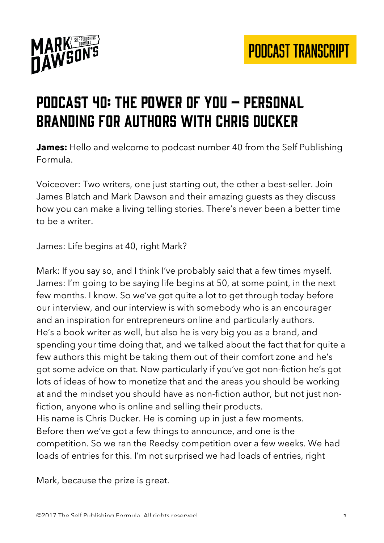

## Podcast 40: the power of you – Personal branding for authors with chris ducker

**James:** Hello and welcome to podcast number 40 from the Self Publishing Formula.

Voiceover: Two writers, one just starting out, the other a best-seller. Join James Blatch and Mark Dawson and their amazing guests as they discuss how you can make a living telling stories. There's never been a better time to be a writer.

James: Life begins at 40, right Mark?

Mark: If you say so, and I think I've probably said that a few times myself. James: I'm going to be saying life begins at 50, at some point, in the next few months. I know. So we've got quite a lot to get through today before our interview, and our interview is with somebody who is an encourager and an inspiration for entrepreneurs online and particularly authors. He's a book writer as well, but also he is very big you as a brand, and spending your time doing that, and we talked about the fact that for quite a few authors this might be taking them out of their comfort zone and he's got some advice on that. Now particularly if you've got non-fiction he's got lots of ideas of how to monetize that and the areas you should be working at and the mindset you should have as non-fiction author, but not just nonfiction, anyone who is online and selling their products. His name is Chris Ducker. He is coming up in just a few moments. Before then we've got a few things to announce, and one is the competition. So we ran the Reedsy competition over a few weeks. We had loads of entries for this. I'm not surprised we had loads of entries, right

Mark, because the prize is great.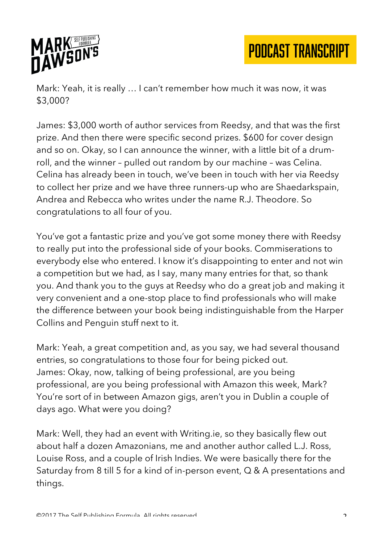

Mark: Yeah, it is really … I can't remember how much it was now, it was \$3,000?

James: \$3,000 worth of author services from Reedsy, and that was the first prize. And then there were specific second prizes. \$600 for cover design and so on. Okay, so I can announce the winner, with a little bit of a drumroll, and the winner – pulled out random by our machine – was Celina. Celina has already been in touch, we've been in touch with her via Reedsy to collect her prize and we have three runners-up who are Shaedarkspain, Andrea and Rebecca who writes under the name R.J. Theodore. So congratulations to all four of you.

You've got a fantastic prize and you've got some money there with Reedsy to really put into the professional side of your books. Commiserations to everybody else who entered. I know it's disappointing to enter and not win a competition but we had, as I say, many many entries for that, so thank you. And thank you to the guys at Reedsy who do a great job and making it very convenient and a one-stop place to find professionals who will make the difference between your book being indistinguishable from the Harper Collins and Penguin stuff next to it.

Mark: Yeah, a great competition and, as you say, we had several thousand entries, so congratulations to those four for being picked out. James: Okay, now, talking of being professional, are you being professional, are you being professional with Amazon this week, Mark? You're sort of in between Amazon gigs, aren't you in Dublin a couple of days ago. What were you doing?

Mark: Well, they had an event with Writing.ie, so they basically flew out about half a dozen Amazonians, me and another author called L.J. Ross, Louise Ross, and a couple of Irish Indies. We were basically there for the Saturday from 8 till 5 for a kind of in-person event, Q & A presentations and things.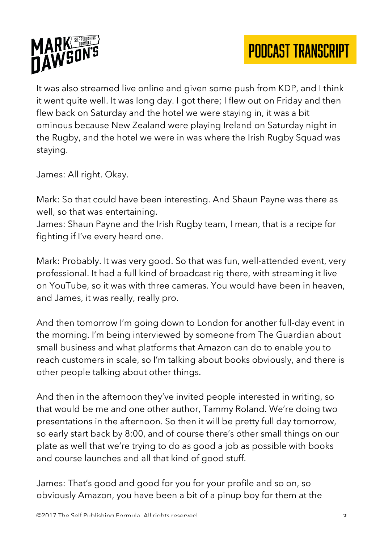

It was also streamed live online and given some push from KDP, and I think it went quite well. It was long day. I got there; I flew out on Friday and then flew back on Saturday and the hotel we were staying in, it was a bit ominous because New Zealand were playing Ireland on Saturday night in the Rugby, and the hotel we were in was where the Irish Rugby Squad was staying.

James: All right. Okay.

Mark: So that could have been interesting. And Shaun Payne was there as well, so that was entertaining.

James: Shaun Payne and the Irish Rugby team, I mean, that is a recipe for fighting if I've every heard one.

Mark: Probably. It was very good. So that was fun, well-attended event, very professional. It had a full kind of broadcast rig there, with streaming it live on YouTube, so it was with three cameras. You would have been in heaven, and James, it was really, really pro.

And then tomorrow I'm going down to London for another full-day event in the morning. I'm being interviewed by someone from The Guardian about small business and what platforms that Amazon can do to enable you to reach customers in scale, so I'm talking about books obviously, and there is other people talking about other things.

And then in the afternoon they've invited people interested in writing, so that would be me and one other author, Tammy Roland. We're doing two presentations in the afternoon. So then it will be pretty full day tomorrow, so early start back by 8:00, and of course there's other small things on our plate as well that we're trying to do as good a job as possible with books and course launches and all that kind of good stuff.

James: That's good and good for you for your profile and so on, so obviously Amazon, you have been a bit of a pinup boy for them at the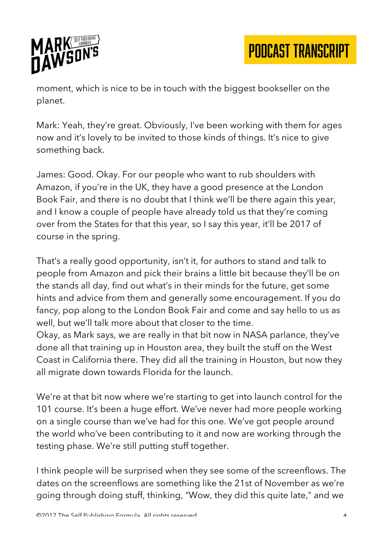

moment, which is nice to be in touch with the biggest bookseller on the planet.

Mark: Yeah, they're great. Obviously, I've been working with them for ages now and it's lovely to be invited to those kinds of things. It's nice to give something back.

James: Good. Okay. For our people who want to rub shoulders with Amazon, if you're in the UK, they have a good presence at the London Book Fair, and there is no doubt that I think we'll be there again this year, and I know a couple of people have already told us that they're coming over from the States for that this year, so I say this year, it'll be 2017 of course in the spring.

That's a really good opportunity, isn't it, for authors to stand and talk to people from Amazon and pick their brains a little bit because they'll be on the stands all day, find out what's in their minds for the future, get some hints and advice from them and generally some encouragement. If you do fancy, pop along to the London Book Fair and come and say hello to us as well, but we'll talk more about that closer to the time.

Okay, as Mark says, we are really in that bit now in NASA parlance, they've done all that training up in Houston area, they built the stuff on the West Coast in California there. They did all the training in Houston, but now they all migrate down towards Florida for the launch.

We're at that bit now where we're starting to get into launch control for the 101 course. It's been a huge effort. We've never had more people working on a single course than we've had for this one. We've got people around the world who've been contributing to it and now are working through the testing phase. We're still putting stuff together.

I think people will be surprised when they see some of the screenflows. The dates on the screenflows are something like the 21st of November as we're going through doing stuff, thinking, "Wow, they did this quite late," and we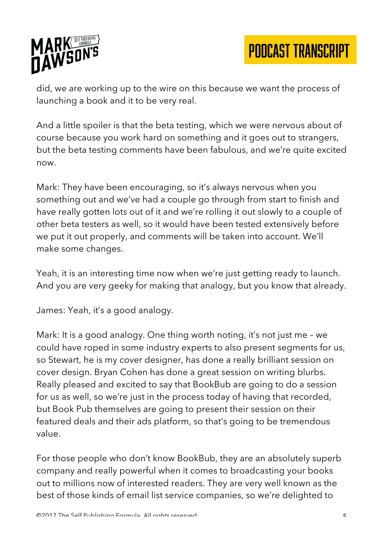

did, we are working up to the wire on this because we want the process of launching a book and it to be very real.

And a little spoiler is that the beta testing, which we were nervous about of course because you work hard on something and it goes out to strangers, but the beta testing comments have been fabulous, and we're quite excited now.

Mark: They have been encouraging, so it's always nervous when you something out and we've had a couple go through from start to finish and have really gotten lots out of it and we're rolling it out slowly to a couple of other beta testers as well, so it would have been tested extensively before we put it out properly, and comments will be taken into account. We'll make some changes.

Yeah, it is an interesting time now when we're just getting ready to launch. And you are very geeky for making that analogy, but you know that already.

James: Yeah, it's a good analogy.

Mark: It is a good analogy. One thing worth noting, it's not just me – we could have roped in some industry experts to also present segments for us, so Stewart, he is my cover designer, has done a really brilliant session on cover design. Bryan Cohen has done a great session on writing blurbs. Really pleased and excited to say that BookBub are going to do a session for us as well, so we're just in the process today of having that recorded, but Book Pub themselves are going to present their session on their featured deals and their ads platform, so that's going to be tremendous value.

For those people who don't know BookBub, they are an absolutely superb company and really powerful when it comes to broadcasting your books out to millions now of interested readers. They are very well known as the best of those kinds of email list service companies, so we're delighted to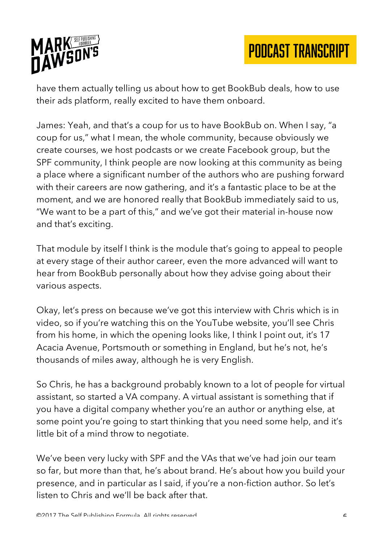

have them actually telling us about how to get BookBub deals, how to use their ads platform, really excited to have them onboard.

James: Yeah, and that's a coup for us to have BookBub on. When I say, "a coup for us," what I mean, the whole community, because obviously we create courses, we host podcasts or we create Facebook group, but the SPF community, I think people are now looking at this community as being a place where a significant number of the authors who are pushing forward with their careers are now gathering, and it's a fantastic place to be at the moment, and we are honored really that BookBub immediately said to us, "We want to be a part of this," and we've got their material in-house now and that's exciting.

That module by itself I think is the module that's going to appeal to people at every stage of their author career, even the more advanced will want to hear from BookBub personally about how they advise going about their various aspects.

Okay, let's press on because we've got this interview with Chris which is in video, so if you're watching this on the YouTube website, you'll see Chris from his home, in which the opening looks like, I think I point out, it's 17 Acacia Avenue, Portsmouth or something in England, but he's not, he's thousands of miles away, although he is very English.

So Chris, he has a background probably known to a lot of people for virtual assistant, so started a VA company. A virtual assistant is something that if you have a digital company whether you're an author or anything else, at some point you're going to start thinking that you need some help, and it's little bit of a mind throw to negotiate.

We've been very lucky with SPF and the VAs that we've had join our team so far, but more than that, he's about brand. He's about how you build your presence, and in particular as I said, if you're a non-fiction author. So let's listen to Chris and we'll be back after that.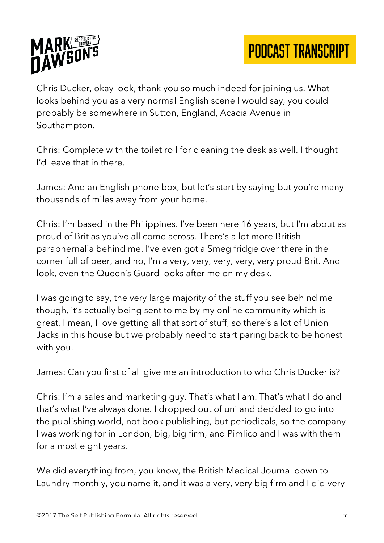

Chris Ducker, okay look, thank you so much indeed for joining us. What looks behind you as a very normal English scene I would say, you could probably be somewhere in Sutton, England, Acacia Avenue in Southampton.

Chris: Complete with the toilet roll for cleaning the desk as well. I thought I'd leave that in there.

James: And an English phone box, but let's start by saying but you're many thousands of miles away from your home.

Chris: I'm based in the Philippines. I've been here 16 years, but I'm about as proud of Brit as you've all come across. There's a lot more British paraphernalia behind me. I've even got a Smeg fridge over there in the corner full of beer, and no, I'm a very, very, very, very, very proud Brit. And look, even the Queen's Guard looks after me on my desk.

I was going to say, the very large majority of the stuff you see behind me though, it's actually being sent to me by my online community which is great, I mean, I love getting all that sort of stuff, so there's a lot of Union Jacks in this house but we probably need to start paring back to be honest with you.

James: Can you first of all give me an introduction to who Chris Ducker is?

Chris: I'm a sales and marketing guy. That's what I am. That's what I do and that's what I've always done. I dropped out of uni and decided to go into the publishing world, not book publishing, but periodicals, so the company I was working for in London, big, big firm, and Pimlico and I was with them for almost eight years.

We did everything from, you know, the British Medical Journal down to Laundry monthly, you name it, and it was a very, very big firm and I did very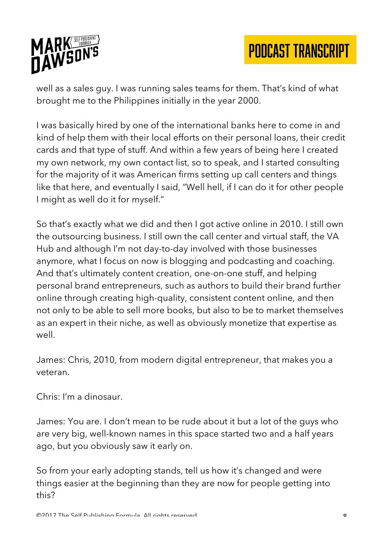

well as a sales guy. I was running sales teams for them. That's kind of what brought me to the Philippines initially in the year 2000.

I was basically hired by one of the international banks here to come in and kind of help them with their local efforts on their personal loans, their credit cards and that type of stuff. And within a few years of being here I created my own network, my own contact list, so to speak, and I started consulting for the majority of it was American firms setting up call centers and things like that here, and eventually I said, "Well hell, if I can do it for other people I might as well do it for myself."

So that's exactly what we did and then I got active online in 2010. I still own the outsourcing business. I still own the call center and virtual staff, the VA Hub and although I'm not day-to-day involved with those businesses anymore, what I focus on now is blogging and podcasting and coaching. And that's ultimately content creation, one-on-one stuff, and helping personal brand entrepreneurs, such as authors to build their brand further online through creating high-quality, consistent content online, and then not only to be able to sell more books, but also to be to market themselves as an expert in their niche, as well as obviously monetize that expertise as well.

James: Chris, 2010, from modern digital entrepreneur, that makes you a veteran.

Chris: I'm a dinosaur.

James: You are. I don't mean to be rude about it but a lot of the guys who are very big, well-known names in this space started two and a half years ago, but you obviously saw it early on.

So from your early adopting stands, tell us how it's changed and were things easier at the beginning than they are now for people getting into this?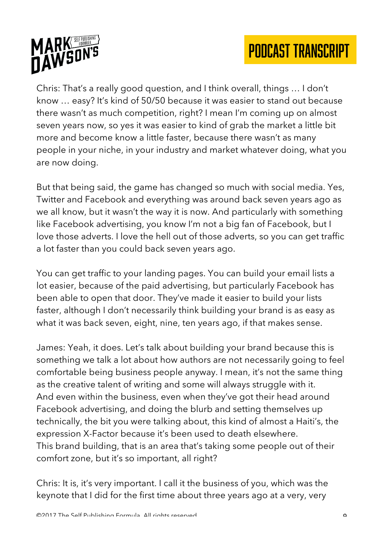



Chris: That's a really good question, and I think overall, things … I don't know … easy? It's kind of 50/50 because it was easier to stand out because there wasn't as much competition, right? I mean I'm coming up on almost seven years now, so yes it was easier to kind of grab the market a little bit more and become know a little faster, because there wasn't as many people in your niche, in your industry and market whatever doing, what you are now doing.

But that being said, the game has changed so much with social media. Yes, Twitter and Facebook and everything was around back seven years ago as we all know, but it wasn't the way it is now. And particularly with something like Facebook advertising, you know I'm not a big fan of Facebook, but I love those adverts. I love the hell out of those adverts, so you can get traffic a lot faster than you could back seven years ago.

You can get traffic to your landing pages. You can build your email lists a lot easier, because of the paid advertising, but particularly Facebook has been able to open that door. They've made it easier to build your lists faster, although I don't necessarily think building your brand is as easy as what it was back seven, eight, nine, ten years ago, if that makes sense.

James: Yeah, it does. Let's talk about building your brand because this is something we talk a lot about how authors are not necessarily going to feel comfortable being business people anyway. I mean, it's not the same thing as the creative talent of writing and some will always struggle with it. And even within the business, even when they've got their head around Facebook advertising, and doing the blurb and setting themselves up technically, the bit you were talking about, this kind of almost a Haiti's, the expression X-Factor because it's been used to death elsewhere. This brand building, that is an area that's taking some people out of their comfort zone, but it's so important, all right?

Chris: It is, it's very important. I call it the business of you, which was the keynote that I did for the first time about three years ago at a very, very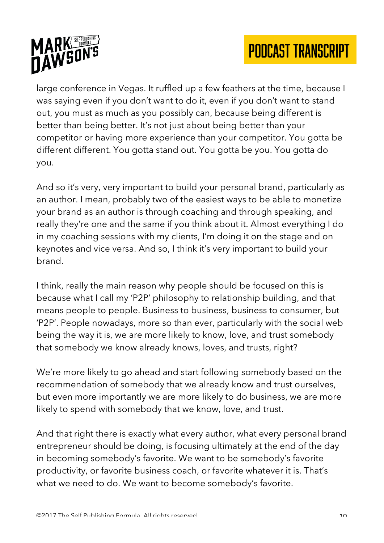



large conference in Vegas. It ruffled up a few feathers at the time, because I was saying even if you don't want to do it, even if you don't want to stand out, you must as much as you possibly can, because being different is better than being better. It's not just about being better than your competitor or having more experience than your competitor. You gotta be different different. You gotta stand out. You gotta be you. You gotta do you.

And so it's very, very important to build your personal brand, particularly as an author. I mean, probably two of the easiest ways to be able to monetize your brand as an author is through coaching and through speaking, and really they're one and the same if you think about it. Almost everything I do in my coaching sessions with my clients, I'm doing it on the stage and on keynotes and vice versa. And so, I think it's very important to build your brand.

I think, really the main reason why people should be focused on this is because what I call my 'P2P' philosophy to relationship building, and that means people to people. Business to business, business to consumer, but 'P2P'. People nowadays, more so than ever, particularly with the social web being the way it is, we are more likely to know, love, and trust somebody that somebody we know already knows, loves, and trusts, right?

We're more likely to go ahead and start following somebody based on the recommendation of somebody that we already know and trust ourselves, but even more importantly we are more likely to do business, we are more likely to spend with somebody that we know, love, and trust.

And that right there is exactly what every author, what every personal brand entrepreneur should be doing, is focusing ultimately at the end of the day in becoming somebody's favorite. We want to be somebody's favorite productivity, or favorite business coach, or favorite whatever it is. That's what we need to do. We want to become somebody's favorite.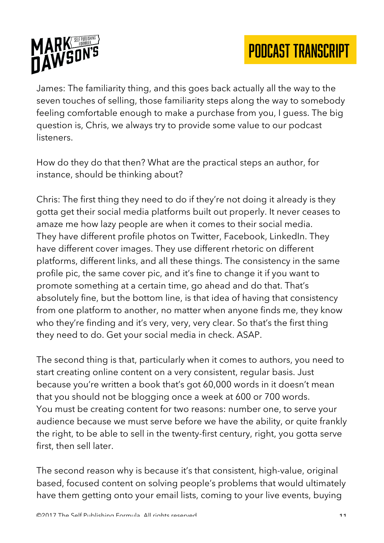

James: The familiarity thing, and this goes back actually all the way to the seven touches of selling, those familiarity steps along the way to somebody feeling comfortable enough to make a purchase from you, I guess. The big question is, Chris, we always try to provide some value to our podcast listeners.

How do they do that then? What are the practical steps an author, for instance, should be thinking about?

Chris: The first thing they need to do if they're not doing it already is they gotta get their social media platforms built out properly. It never ceases to amaze me how lazy people are when it comes to their social media. They have different profile photos on Twitter, Facebook, LinkedIn. They have different cover images. They use different rhetoric on different platforms, different links, and all these things. The consistency in the same profile pic, the same cover pic, and it's fine to change it if you want to promote something at a certain time, go ahead and do that. That's absolutely fine, but the bottom line, is that idea of having that consistency from one platform to another, no matter when anyone finds me, they know who they're finding and it's very, very, very clear. So that's the first thing they need to do. Get your social media in check. ASAP.

The second thing is that, particularly when it comes to authors, you need to start creating online content on a very consistent, regular basis. Just because you're written a book that's got 60,000 words in it doesn't mean that you should not be blogging once a week at 600 or 700 words. You must be creating content for two reasons: number one, to serve your audience because we must serve before we have the ability, or quite frankly the right, to be able to sell in the twenty-first century, right, you gotta serve first, then sell later.

The second reason why is because it's that consistent, high-value, original based, focused content on solving people's problems that would ultimately have them getting onto your email lists, coming to your live events, buying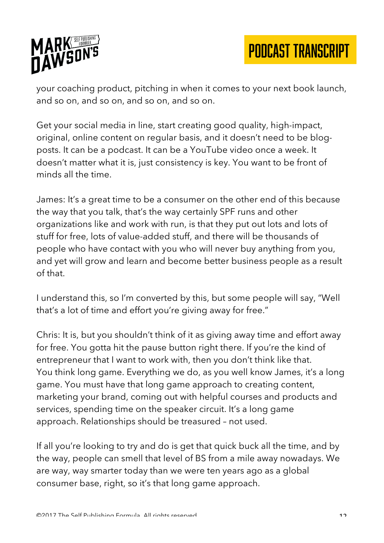

your coaching product, pitching in when it comes to your next book launch, and so on, and so on, and so on, and so on.

Get your social media in line, start creating good quality, high-impact, original, online content on regular basis, and it doesn't need to be blogposts. It can be a podcast. It can be a YouTube video once a week. It doesn't matter what it is, just consistency is key. You want to be front of minds all the time.

James: It's a great time to be a consumer on the other end of this because the way that you talk, that's the way certainly SPF runs and other organizations like and work with run, is that they put out lots and lots of stuff for free, lots of value-added stuff, and there will be thousands of people who have contact with you who will never buy anything from you, and yet will grow and learn and become better business people as a result of that.

I understand this, so I'm converted by this, but some people will say, "Well that's a lot of time and effort you're giving away for free."

Chris: It is, but you shouldn't think of it as giving away time and effort away for free. You gotta hit the pause button right there. If you're the kind of entrepreneur that I want to work with, then you don't think like that. You think long game. Everything we do, as you well know James, it's a long game. You must have that long game approach to creating content, marketing your brand, coming out with helpful courses and products and services, spending time on the speaker circuit. It's a long game approach. Relationships should be treasured – not used.

If all you're looking to try and do is get that quick buck all the time, and by the way, people can smell that level of BS from a mile away nowadays. We are way, way smarter today than we were ten years ago as a global consumer base, right, so it's that long game approach.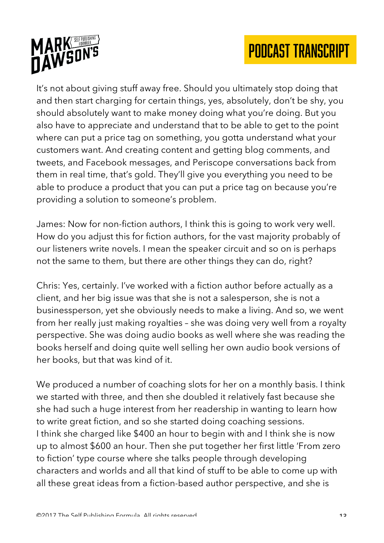

It's not about giving stuff away free. Should you ultimately stop doing that and then start charging for certain things, yes, absolutely, don't be shy, you should absolutely want to make money doing what you're doing. But you also have to appreciate and understand that to be able to get to the point where can put a price tag on something, you gotta understand what your customers want. And creating content and getting blog comments, and tweets, and Facebook messages, and Periscope conversations back from them in real time, that's gold. They'll give you everything you need to be able to produce a product that you can put a price tag on because you're providing a solution to someone's problem.

James: Now for non-fiction authors, I think this is going to work very well. How do you adjust this for fiction authors, for the vast majority probably of our listeners write novels. I mean the speaker circuit and so on is perhaps not the same to them, but there are other things they can do, right?

Chris: Yes, certainly. I've worked with a fiction author before actually as a client, and her big issue was that she is not a salesperson, she is not a businessperson, yet she obviously needs to make a living. And so, we went from her really just making royalties – she was doing very well from a royalty perspective. She was doing audio books as well where she was reading the books herself and doing quite well selling her own audio book versions of her books, but that was kind of it.

We produced a number of coaching slots for her on a monthly basis. I think we started with three, and then she doubled it relatively fast because she she had such a huge interest from her readership in wanting to learn how to write great fiction, and so she started doing coaching sessions. I think she charged like \$400 an hour to begin with and I think she is now up to almost \$600 an hour. Then she put together her first little 'From zero to fiction' type course where she talks people through developing characters and worlds and all that kind of stuff to be able to come up with all these great ideas from a fiction-based author perspective, and she is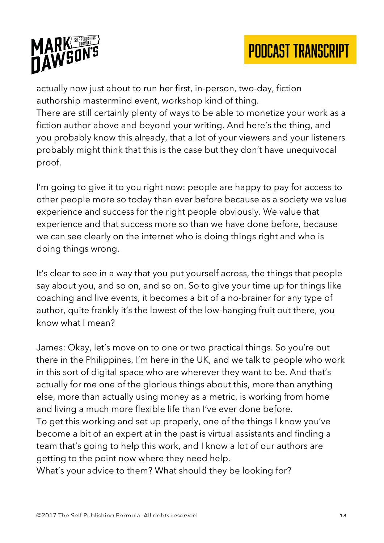



actually now just about to run her first, in-person, two-day, fiction authorship mastermind event, workshop kind of thing.

There are still certainly plenty of ways to be able to monetize your work as a fiction author above and beyond your writing. And here's the thing, and you probably know this already, that a lot of your viewers and your listeners probably might think that this is the case but they don't have unequivocal proof.

I'm going to give it to you right now: people are happy to pay for access to other people more so today than ever before because as a society we value experience and success for the right people obviously. We value that experience and that success more so than we have done before, because we can see clearly on the internet who is doing things right and who is doing things wrong.

It's clear to see in a way that you put yourself across, the things that people say about you, and so on, and so on. So to give your time up for things like coaching and live events, it becomes a bit of a no-brainer for any type of author, quite frankly it's the lowest of the low-hanging fruit out there, you know what I mean?

James: Okay, let's move on to one or two practical things. So you're out there in the Philippines, I'm here in the UK, and we talk to people who work in this sort of digital space who are wherever they want to be. And that's actually for me one of the glorious things about this, more than anything else, more than actually using money as a metric, is working from home and living a much more flexible life than I've ever done before. To get this working and set up properly, one of the things I know you've become a bit of an expert at in the past is virtual assistants and finding a team that's going to help this work, and I know a lot of our authors are getting to the point now where they need help.

What's your advice to them? What should they be looking for?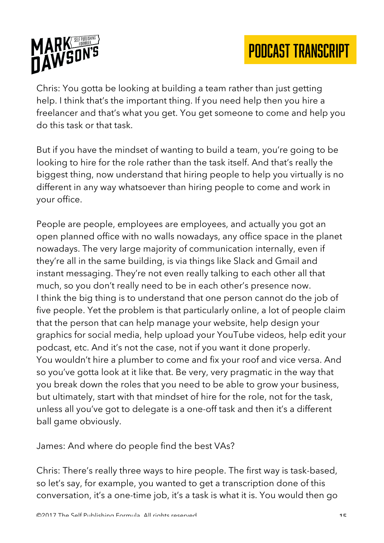

Chris: You gotta be looking at building a team rather than just getting help. I think that's the important thing. If you need help then you hire a freelancer and that's what you get. You get someone to come and help you do this task or that task.

But if you have the mindset of wanting to build a team, you're going to be looking to hire for the role rather than the task itself. And that's really the biggest thing, now understand that hiring people to help you virtually is no different in any way whatsoever than hiring people to come and work in your office.

People are people, employees are employees, and actually you got an open planned office with no walls nowadays, any office space in the planet nowadays. The very large majority of communication internally, even if they're all in the same building, is via things like Slack and Gmail and instant messaging. They're not even really talking to each other all that much, so you don't really need to be in each other's presence now. I think the big thing is to understand that one person cannot do the job of five people. Yet the problem is that particularly online, a lot of people claim that the person that can help manage your website, help design your graphics for social media, help upload your YouTube videos, help edit your podcast, etc. And it's not the case, not if you want it done properly. You wouldn't hire a plumber to come and fix your roof and vice versa. And so you've gotta look at it like that. Be very, very pragmatic in the way that you break down the roles that you need to be able to grow your business, but ultimately, start with that mindset of hire for the role, not for the task, unless all you've got to delegate is a one-off task and then it's a different ball game obviously.

James: And where do people find the best VAs?

Chris: There's really three ways to hire people. The first way is task-based, so let's say, for example, you wanted to get a transcription done of this conversation, it's a one-time job, it's a task is what it is. You would then go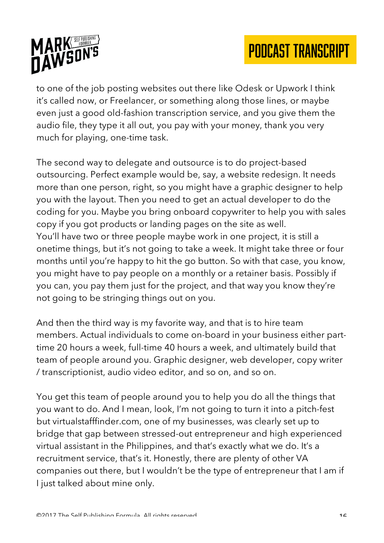

to one of the job posting websites out there like Odesk or Upwork I think it's called now, or Freelancer, or something along those lines, or maybe even just a good old-fashion transcription service, and you give them the audio file, they type it all out, you pay with your money, thank you very much for playing, one-time task.

The second way to delegate and outsource is to do project-based outsourcing. Perfect example would be, say, a website redesign. It needs more than one person, right, so you might have a graphic designer to help you with the layout. Then you need to get an actual developer to do the coding for you. Maybe you bring onboard copywriter to help you with sales copy if you got products or landing pages on the site as well. You'll have two or three people maybe work in one project, it is still a onetime things, but it's not going to take a week. It might take three or four months until you're happy to hit the go button. So with that case, you know, you might have to pay people on a monthly or a retainer basis. Possibly if you can, you pay them just for the project, and that way you know they're not going to be stringing things out on you.

And then the third way is my favorite way, and that is to hire team members. Actual individuals to come on-board in your business either parttime 20 hours a week, full-time 40 hours a week, and ultimately build that team of people around you. Graphic designer, web developer, copy writer / transcriptionist, audio video editor, and so on, and so on.

You get this team of people around you to help you do all the things that you want to do. And I mean, look, I'm not going to turn it into a pitch-fest but virtualstafffinder.com, one of my businesses, was clearly set up to bridge that gap between stressed-out entrepreneur and high experienced virtual assistant in the Philippines, and that's exactly what we do. It's a recruitment service, that's it. Honestly, there are plenty of other VA companies out there, but I wouldn't be the type of entrepreneur that I am if I just talked about mine only.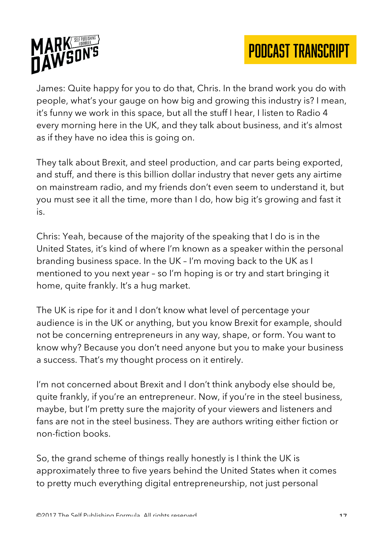

James: Quite happy for you to do that, Chris. In the brand work you do with people, what's your gauge on how big and growing this industry is? I mean, it's funny we work in this space, but all the stuff I hear, I listen to Radio 4 every morning here in the UK, and they talk about business, and it's almost as if they have no idea this is going on.

They talk about Brexit, and steel production, and car parts being exported, and stuff, and there is this billion dollar industry that never gets any airtime on mainstream radio, and my friends don't even seem to understand it, but you must see it all the time, more than I do, how big it's growing and fast it is.

Chris: Yeah, because of the majority of the speaking that I do is in the United States, it's kind of where I'm known as a speaker within the personal branding business space. In the UK – I'm moving back to the UK as I mentioned to you next year – so I'm hoping is or try and start bringing it home, quite frankly. It's a hug market.

The UK is ripe for it and I don't know what level of percentage your audience is in the UK or anything, but you know Brexit for example, should not be concerning entrepreneurs in any way, shape, or form. You want to know why? Because you don't need anyone but you to make your business a success. That's my thought process on it entirely.

I'm not concerned about Brexit and I don't think anybody else should be, quite frankly, if you're an entrepreneur. Now, if you're in the steel business, maybe, but I'm pretty sure the majority of your viewers and listeners and fans are not in the steel business. They are authors writing either fiction or non-fiction books.

So, the grand scheme of things really honestly is I think the UK is approximately three to five years behind the United States when it comes to pretty much everything digital entrepreneurship, not just personal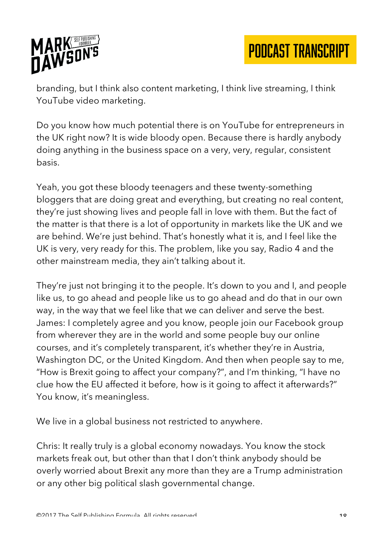

branding, but I think also content marketing, I think live streaming, I think YouTube video marketing.

Do you know how much potential there is on YouTube for entrepreneurs in the UK right now? It is wide bloody open. Because there is hardly anybody doing anything in the business space on a very, very, regular, consistent basis.

Yeah, you got these bloody teenagers and these twenty-something bloggers that are doing great and everything, but creating no real content, they're just showing lives and people fall in love with them. But the fact of the matter is that there is a lot of opportunity in markets like the UK and we are behind. We're just behind. That's honestly what it is, and I feel like the UK is very, very ready for this. The problem, like you say, Radio 4 and the other mainstream media, they ain't talking about it.

They're just not bringing it to the people. It's down to you and I, and people like us, to go ahead and people like us to go ahead and do that in our own way, in the way that we feel like that we can deliver and serve the best. James: I completely agree and you know, people join our Facebook group from wherever they are in the world and some people buy our online courses, and it's completely transparent, it's whether they're in Austria, Washington DC, or the United Kingdom. And then when people say to me, "How is Brexit going to affect your company?", and I'm thinking, "I have no clue how the EU affected it before, how is it going to affect it afterwards?" You know, it's meaningless.

We live in a global business not restricted to anywhere.

Chris: It really truly is a global economy nowadays. You know the stock markets freak out, but other than that I don't think anybody should be overly worried about Brexit any more than they are a Trump administration or any other big political slash governmental change.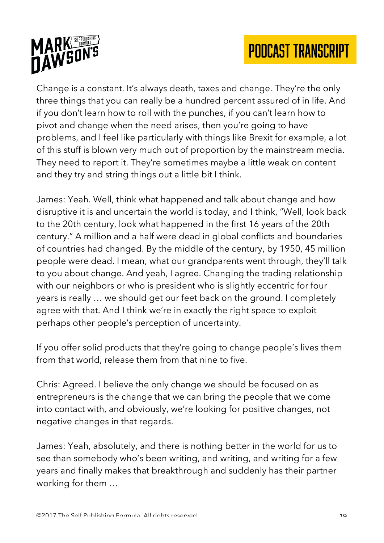



Change is a constant. It's always death, taxes and change. They're the only three things that you can really be a hundred percent assured of in life. And if you don't learn how to roll with the punches, if you can't learn how to pivot and change when the need arises, then you're going to have problems, and I feel like particularly with things like Brexit for example, a lot of this stuff is blown very much out of proportion by the mainstream media. They need to report it. They're sometimes maybe a little weak on content and they try and string things out a little bit I think.

James: Yeah. Well, think what happened and talk about change and how disruptive it is and uncertain the world is today, and I think, "Well, look back to the 20th century, look what happened in the first 16 years of the 20th century." A million and a half were dead in global conflicts and boundaries of countries had changed. By the middle of the century, by 1950, 45 million people were dead. I mean, what our grandparents went through, they'll talk to you about change. And yeah, I agree. Changing the trading relationship with our neighbors or who is president who is slightly eccentric for four years is really … we should get our feet back on the ground. I completely agree with that. And I think we're in exactly the right space to exploit perhaps other people's perception of uncertainty.

If you offer solid products that they're going to change people's lives them from that world, release them from that nine to five.

Chris: Agreed. I believe the only change we should be focused on as entrepreneurs is the change that we can bring the people that we come into contact with, and obviously, we're looking for positive changes, not negative changes in that regards.

James: Yeah, absolutely, and there is nothing better in the world for us to see than somebody who's been writing, and writing, and writing for a few years and finally makes that breakthrough and suddenly has their partner working for them …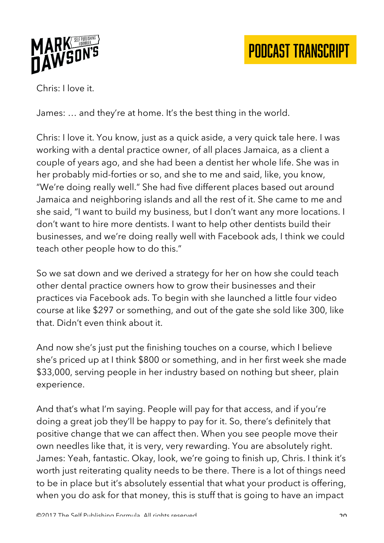

Chris: I love it.

James: … and they're at home. It's the best thing in the world.

Chris: I love it. You know, just as a quick aside, a very quick tale here. I was working with a dental practice owner, of all places Jamaica, as a client a couple of years ago, and she had been a dentist her whole life. She was in her probably mid-forties or so, and she to me and said, like, you know, "We're doing really well." She had five different places based out around Jamaica and neighboring islands and all the rest of it. She came to me and she said, "I want to build my business, but I don't want any more locations. I don't want to hire more dentists. I want to help other dentists build their businesses, and we're doing really well with Facebook ads, I think we could teach other people how to do this."

So we sat down and we derived a strategy for her on how she could teach other dental practice owners how to grow their businesses and their practices via Facebook ads. To begin with she launched a little four video course at like \$297 or something, and out of the gate she sold like 300, like that. Didn't even think about it.

And now she's just put the finishing touches on a course, which I believe she's priced up at I think \$800 or something, and in her first week she made \$33,000, serving people in her industry based on nothing but sheer, plain experience.

And that's what I'm saying. People will pay for that access, and if you're doing a great job they'll be happy to pay for it. So, there's definitely that positive change that we can affect then. When you see people move their own needles like that, it is very, very rewarding. You are absolutely right. James: Yeah, fantastic. Okay, look, we're going to finish up, Chris. I think it's worth just reiterating quality needs to be there. There is a lot of things need to be in place but it's absolutely essential that what your product is offering, when you do ask for that money, this is stuff that is going to have an impact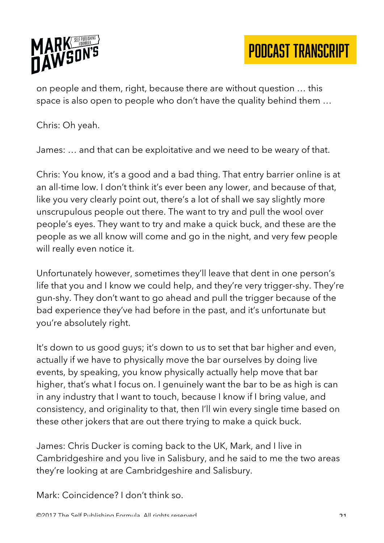

on people and them, right, because there are without question … this space is also open to people who don't have the quality behind them …

Chris: Oh yeah.

James: … and that can be exploitative and we need to be weary of that.

Chris: You know, it's a good and a bad thing. That entry barrier online is at an all-time low. I don't think it's ever been any lower, and because of that, like you very clearly point out, there's a lot of shall we say slightly more unscrupulous people out there. The want to try and pull the wool over people's eyes. They want to try and make a quick buck, and these are the people as we all know will come and go in the night, and very few people will really even notice it.

Unfortunately however, sometimes they'll leave that dent in one person's life that you and I know we could help, and they're very trigger-shy. They're gun-shy. They don't want to go ahead and pull the trigger because of the bad experience they've had before in the past, and it's unfortunate but you're absolutely right.

It's down to us good guys; it's down to us to set that bar higher and even, actually if we have to physically move the bar ourselves by doing live events, by speaking, you know physically actually help move that bar higher, that's what I focus on. I genuinely want the bar to be as high is can in any industry that I want to touch, because I know if I bring value, and consistency, and originality to that, then I'll win every single time based on these other jokers that are out there trying to make a quick buck.

James: Chris Ducker is coming back to the UK, Mark, and I live in Cambridgeshire and you live in Salisbury, and he said to me the two areas they're looking at are Cambridgeshire and Salisbury.

Mark: Coincidence? I don't think so.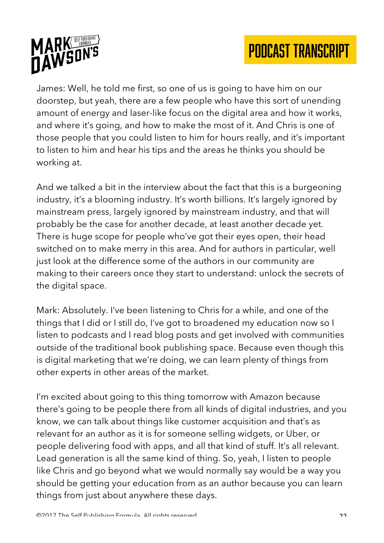

James: Well, he told me first, so one of us is going to have him on our doorstep, but yeah, there are a few people who have this sort of unending amount of energy and laser-like focus on the digital area and how it works, and where it's going, and how to make the most of it. And Chris is one of those people that you could listen to him for hours really, and it's important to listen to him and hear his tips and the areas he thinks you should be working at.

And we talked a bit in the interview about the fact that this is a burgeoning industry, it's a blooming industry. It's worth billions. It's largely ignored by mainstream press, largely ignored by mainstream industry, and that will probably be the case for another decade, at least another decade yet. There is huge scope for people who've got their eyes open, their head switched on to make merry in this area. And for authors in particular, well just look at the difference some of the authors in our community are making to their careers once they start to understand: unlock the secrets of the digital space.

Mark: Absolutely. I've been listening to Chris for a while, and one of the things that I did or I still do, I've got to broadened my education now so I listen to podcasts and I read blog posts and get involved with communities outside of the traditional book publishing space. Because even though this is digital marketing that we're doing, we can learn plenty of things from other experts in other areas of the market.

I'm excited about going to this thing tomorrow with Amazon because there's going to be people there from all kinds of digital industries, and you know, we can talk about things like customer acquisition and that's as relevant for an author as it is for someone selling widgets, or Uber, or people delivering food with apps, and all that kind of stuff. It's all relevant. Lead generation is all the same kind of thing. So, yeah, I listen to people like Chris and go beyond what we would normally say would be a way you should be getting your education from as an author because you can learn things from just about anywhere these days.